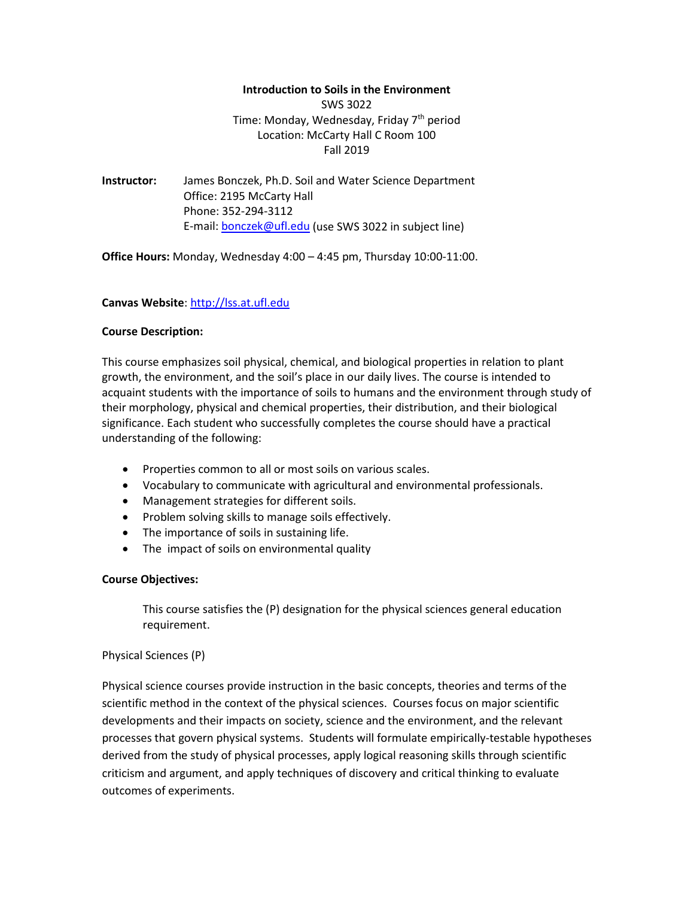#### **Introduction to Soils in the Environment**

SWS 3022 Time: Monday, Wednesday, Friday 7<sup>th</sup> period Location: McCarty Hall C Room 100 Fall 2019

**Instructor:** James Bonczek, Ph.D. Soil and Water Science Department Office: 2195 McCarty Hall Phone: 352-294-3112 E-mail: [bonczek@ufl.edu](mailto:bonczek@ufl.edu) (use SWS 3022 in subject line)

**Office Hours:** Monday, Wednesday 4:00 – 4:45 pm, Thursday 10:00-11:00.

# **Canvas Website**: [http://lss.at.ufl.edu](http://lss.at.ufl.edu/)

## **Course Description:**

This course emphasizes soil physical, chemical, and biological properties in relation to plant growth, the environment, and the soil's place in our daily lives. The course is intended to acquaint students with the importance of soils to humans and the environment through study of their morphology, physical and chemical properties, their distribution, and their biological significance. Each student who successfully completes the course should have a practical understanding of the following:

- Properties common to all or most soils on various scales.
- Vocabulary to communicate with agricultural and environmental professionals.
- Management strategies for different soils.
- Problem solving skills to manage soils effectively.
- The importance of soils in sustaining life.
- The impact of soils on environmental quality

# **Course Objectives:**

This course satisfies the (P) designation for the physical sciences general education requirement.

# Physical Sciences (P)

Physical science courses provide instruction in the basic concepts, theories and terms of the scientific method in the context of the physical sciences. Courses focus on major scientific developments and their impacts on society, science and the environment, and the relevant processes that govern physical systems. Students will formulate empirically-testable hypotheses derived from the study of physical processes, apply logical reasoning skills through scientific criticism and argument, and apply techniques of discovery and critical thinking to evaluate outcomes of experiments.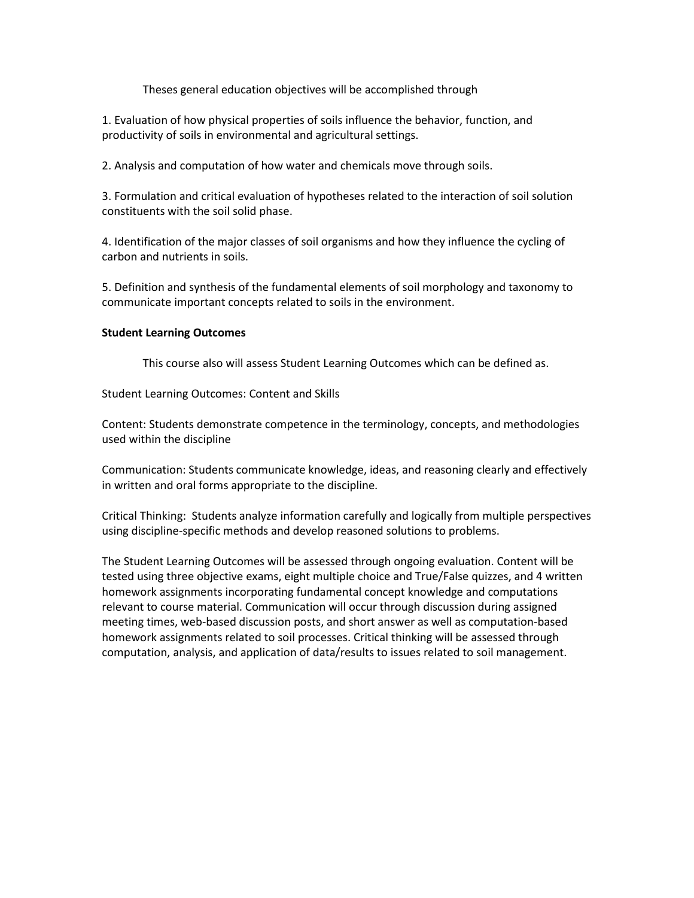Theses general education objectives will be accomplished through

1. Evaluation of how physical properties of soils influence the behavior, function, and productivity of soils in environmental and agricultural settings.

2. Analysis and computation of how water and chemicals move through soils.

3. Formulation and critical evaluation of hypotheses related to the interaction of soil solution constituents with the soil solid phase.

4. Identification of the major classes of soil organisms and how they influence the cycling of carbon and nutrients in soils.

5. Definition and synthesis of the fundamental elements of soil morphology and taxonomy to communicate important concepts related to soils in the environment.

## **Student Learning Outcomes**

This course also will assess Student Learning Outcomes which can be defined as.

Student Learning Outcomes: Content and Skills

Content: Students demonstrate competence in the terminology, concepts, and methodologies used within the discipline

Communication: Students communicate knowledge, ideas, and reasoning clearly and effectively in written and oral forms appropriate to the discipline.

Critical Thinking: Students analyze information carefully and logically from multiple perspectives using discipline-specific methods and develop reasoned solutions to problems.

The Student Learning Outcomes will be assessed through ongoing evaluation. Content will be tested using three objective exams, eight multiple choice and True/False quizzes, and 4 written homework assignments incorporating fundamental concept knowledge and computations relevant to course material. Communication will occur through discussion during assigned meeting times, web-based discussion posts, and short answer as well as computation-based homework assignments related to soil processes. Critical thinking will be assessed through computation, analysis, and application of data/results to issues related to soil management.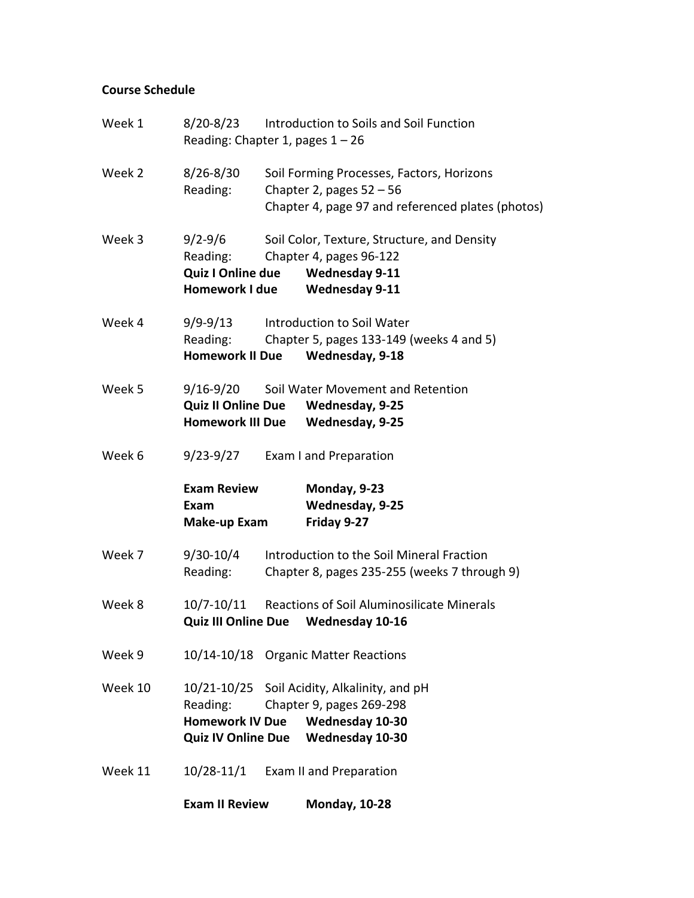# **Course Schedule**

| Week 1  | 8/20-8/23                                                  | Introduction to Soils and Soil Function<br>Reading: Chapter 1, pages $1 - 26$ |                                                                                                                                   |  |
|---------|------------------------------------------------------------|-------------------------------------------------------------------------------|-----------------------------------------------------------------------------------------------------------------------------------|--|
| Week 2  | $8/26 - 8/30$<br>Reading:                                  |                                                                               | Soil Forming Processes, Factors, Horizons<br>Chapter 2, pages $52 - 56$<br>Chapter 4, page 97 and referenced plates (photos)      |  |
| Week 3  | 9/2-9/6<br>Reading:<br>Quiz I Online due<br>Homework I due |                                                                               | Soil Color, Texture, Structure, and Density<br>Chapter 4, pages 96-122<br><b>Wednesday 9-11</b><br><b>Wednesday 9-11</b>          |  |
| Week 4  | 9/9-9/13<br>Reading:<br><b>Homework II Due</b>             |                                                                               | Introduction to Soil Water<br>Chapter 5, pages 133-149 (weeks 4 and 5)<br>Wednesday, 9-18                                         |  |
| Week 5  | 9/16-9/20                                                  |                                                                               | Soil Water Movement and Retention<br>Quiz II Online Due Wednesday, 9-25<br>Homework III Due Wednesday, 9-25                       |  |
| Week 6  | 9/23-9/27                                                  |                                                                               | Exam I and Preparation                                                                                                            |  |
|         | <b>Exam Review</b><br>Exam<br>Make-up Exam                 |                                                                               | Monday, 9-23<br>Wednesday, 9-25<br>Friday 9-27                                                                                    |  |
| Week 7  | 9/30-10/4<br>Reading:                                      |                                                                               | Introduction to the Soil Mineral Fraction<br>Chapter 8, pages 235-255 (weeks 7 through 9)                                         |  |
| Week 8  | 10/7-10/11<br><b>Quiz III Online Due</b>                   |                                                                               | Reactions of Soil Aluminosilicate Minerals<br><b>Wednesday 10-16</b>                                                              |  |
| Week 9  |                                                            |                                                                               | 10/14-10/18 Organic Matter Reactions                                                                                              |  |
| Week 10 | Reading:<br><b>Homework IV Due</b>                         |                                                                               | 10/21-10/25 Soil Acidity, Alkalinity, and pH<br>Chapter 9, pages 269-298<br>Wednesday 10-30<br>Quiz IV Online Due Wednesday 10-30 |  |
| Week 11 |                                                            |                                                                               | 10/28-11/1 Exam II and Preparation                                                                                                |  |
|         | <b>Exam II Review</b>                                      |                                                                               | <b>Monday, 10-28</b>                                                                                                              |  |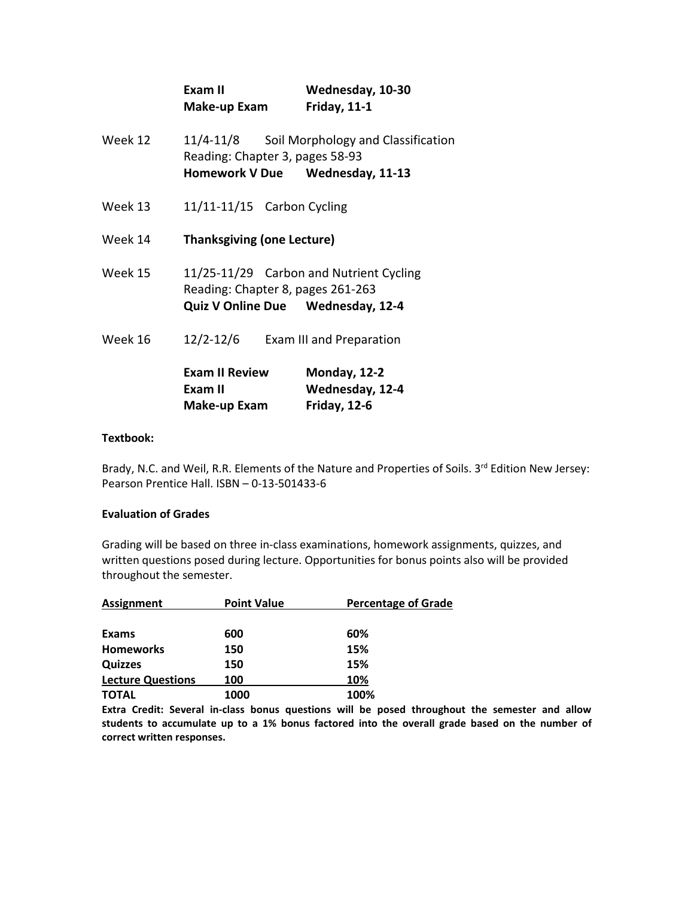|         | Exam II<br>Make-up Exam                                                                                           | Wednesday, 10-30<br><b>Friday, 11-1</b>         |
|---------|-------------------------------------------------------------------------------------------------------------------|-------------------------------------------------|
| Week 12 | Reading: Chapter 3, pages 58-93<br>Homework V Due Wednesday, 11-13                                                | 11/4-11/8 Soil Morphology and Classification    |
| Week 13 | $11/11 - 11/15$ Carbon Cycling                                                                                    |                                                 |
| Week 14 | <b>Thanksgiving (one Lecture)</b>                                                                                 |                                                 |
| Week 15 | 11/25-11/29 Carbon and Nutrient Cycling<br>Reading: Chapter 8, pages 261-263<br>Quiz V Online Due Wednesday, 12-4 |                                                 |
| Week 16 | 12/2-12/6 Exam III and Preparation                                                                                |                                                 |
|         | <b>Exam II Review</b><br>Exam II<br>Make-up Exam                                                                  | Monday, 12-2<br>Wednesday, 12-4<br>Friday, 12-6 |

#### **Textbook:**

Brady, N.C. and Weil, R.R. Elements of the Nature and Properties of Soils. 3<sup>rd</sup> Edition New Jersey: Pearson Prentice Hall. ISBN – 0-13-501433-6

#### **Evaluation of Grades**

Grading will be based on three in-class examinations, homework assignments, quizzes, and written questions posed during lecture. Opportunities for bonus points also will be provided throughout the semester.

| Assignment               | <b>Point Value</b> | <b>Percentage of Grade</b> |  |
|--------------------------|--------------------|----------------------------|--|
|                          |                    |                            |  |
| <b>Exams</b>             | 600                | 60%                        |  |
| <b>Homeworks</b>         | 150                | 15%                        |  |
| <b>Quizzes</b>           | 150                | 15%                        |  |
| <b>Lecture Questions</b> | 100                | 10%                        |  |
| <b>TOTAL</b>             | 1000               | 100%                       |  |

**Extra Credit: Several in-class bonus questions will be posed throughout the semester and allow students to accumulate up to a 1% bonus factored into the overall grade based on the number of correct written responses.**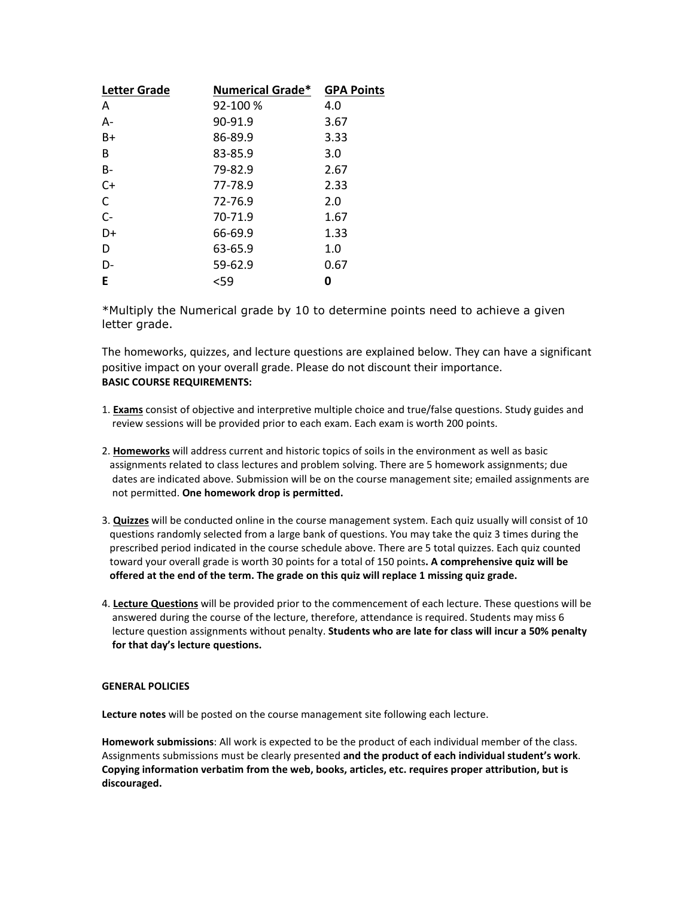| <b>Letter Grade</b> | <b>Numerical Grade*</b> | <b>GPA Points</b> |
|---------------------|-------------------------|-------------------|
| A                   | 92-100 %                | 4.0               |
| A-                  | 90-91.9                 | 3.67              |
| $B+$                | 86-89.9                 | 3.33              |
| B                   | 83-85.9                 | 3.0               |
| B-                  | 79-82.9                 | 2.67              |
| $C+$                | 77-78.9                 | 2.33              |
| C                   | 72-76.9                 | 2.0               |
| $C -$               | 70-71.9                 | 1.67              |
| D+                  | 66-69.9                 | 1.33              |
| D                   | 63-65.9                 | 1.0               |
| D-                  | 59-62.9                 | 0.67              |
| Е                   | $59$                    | 0                 |

\*Multiply the Numerical grade by 10 to determine points need to achieve a given letter grade.

The homeworks, quizzes, and lecture questions are explained below. They can have a significant positive impact on your overall grade. Please do not discount their importance. **BASIC COURSE REQUIREMENTS:**

- 1. **Exams** consist of objective and interpretive multiple choice and true/false questions. Study guides and review sessions will be provided prior to each exam. Each exam is worth 200 points.
- 2. **Homeworks** will address current and historic topics of soils in the environment as well as basic assignments related to class lectures and problem solving. There are 5 homework assignments; due dates are indicated above. Submission will be on the course management site; emailed assignments are not permitted. **One homework drop is permitted.**
- 3. **Quizzes** will be conducted online in the course management system. Each quiz usually will consist of 10 questions randomly selected from a large bank of questions. You may take the quiz 3 times during the prescribed period indicated in the course schedule above. There are 5 total quizzes. Each quiz counted toward your overall grade is worth 30 points for a total of 150 points**. A comprehensive quiz will be offered at the end of the term. The grade on this quiz will replace 1 missing quiz grade.**
- 4. **Lecture Questions** will be provided prior to the commencement of each lecture. These questions will be answered during the course of the lecture, therefore, attendance is required. Students may miss 6 lecture question assignments without penalty. **Students who are late for class will incur a 50% penalty for that day's lecture questions.**

#### **GENERAL POLICIES**

**Lecture notes** will be posted on the course management site following each lecture.

**Homework submissions**: All work is expected to be the product of each individual member of the class. Assignments submissions must be clearly presented **and the product of each individual student's work**. **Copying information verbatim from the web, books, articles, etc. requires proper attribution, but is discouraged.**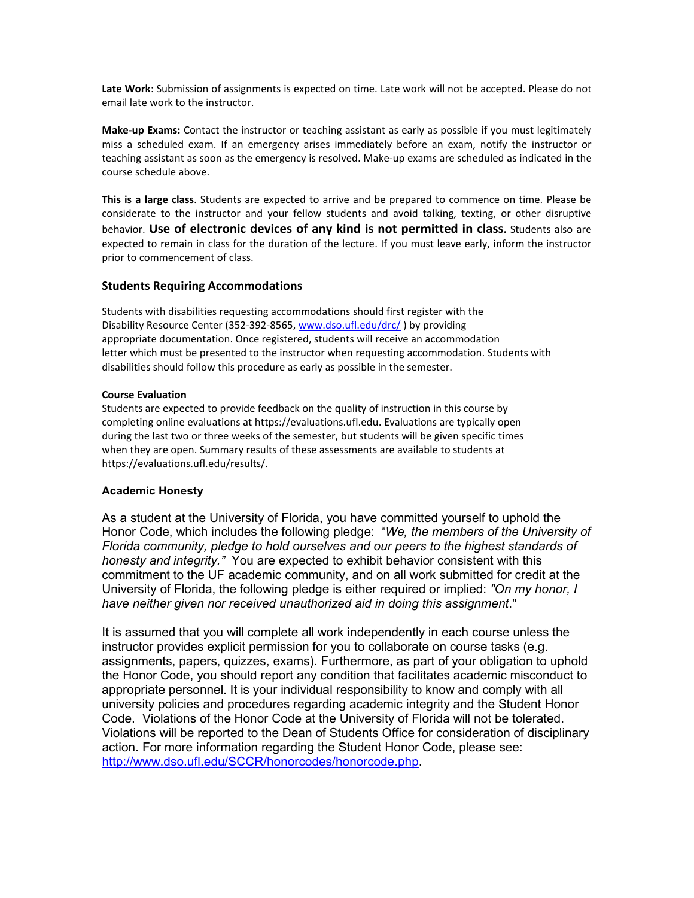**Late Work**: Submission of assignments is expected on time. Late work will not be accepted. Please do not email late work to the instructor.

**Make-up Exams:** Contact the instructor or teaching assistant as early as possible if you must legitimately miss a scheduled exam. If an emergency arises immediately before an exam, notify the instructor or teaching assistant as soon as the emergency is resolved. Make-up exams are scheduled as indicated in the course schedule above.

**This is a large class**. Students are expected to arrive and be prepared to commence on time. Please be considerate to the instructor and your fellow students and avoid talking, texting, or other disruptive behavior. **Use of electronic devices of any kind is not permitted in class.** Students also are expected to remain in class for the duration of the lecture. If you must leave early, inform the instructor prior to commencement of class.

## **Students Requiring Accommodations**

Students with disabilities requesting accommodations should first register with the Disability Resource Center (352-392-8565[, www.dso.ufl.edu/drc/](http://www.dso.ufl.edu/drc/) ) by providing appropriate documentation. Once registered, students will receive an accommodation letter which must be presented to the instructor when requesting accommodation. Students with disabilities should follow this procedure as early as possible in the semester.

#### **Course Evaluation**

Students are expected to provide feedback on the quality of instruction in this course by completing online evaluations at https://evaluations.ufl.edu. Evaluations are typically open during the last two or three weeks of the semester, but students will be given specific times when they are open. Summary results of these assessments are available to students at https://evaluations.ufl.edu/results/.

#### **Academic Honesty**

As a student at the University of Florida, you have committed yourself to uphold the Honor Code, which includes the following pledge: "*We, the members of the University of Florida community, pledge to hold ourselves and our peers to the highest standards of honesty and integrity."* You are expected to exhibit behavior consistent with this commitment to the UF academic community, and on all work submitted for credit at the University of Florida, the following pledge is either required or implied: *"On my honor, I have neither given nor received unauthorized aid in doing this assignment*."

It is assumed that you will complete all work independently in each course unless the instructor provides explicit permission for you to collaborate on course tasks (e.g. assignments, papers, quizzes, exams). Furthermore, as part of your obligation to uphold the Honor Code, you should report any condition that facilitates academic misconduct to appropriate personnel. It is your individual responsibility to know and comply with all university policies and procedures regarding academic integrity and the Student Honor Code. Violations of the Honor Code at the University of Florida will not be tolerated. Violations will be reported to the Dean of Students Office for consideration of disciplinary action. For more information regarding the Student Honor Code, please see: [http://www.dso.ufl.edu/SCCR/honorcodes/honorcode.php.](http://www.dso.ufl.edu/SCCR/honorcodes/honorcode.php)